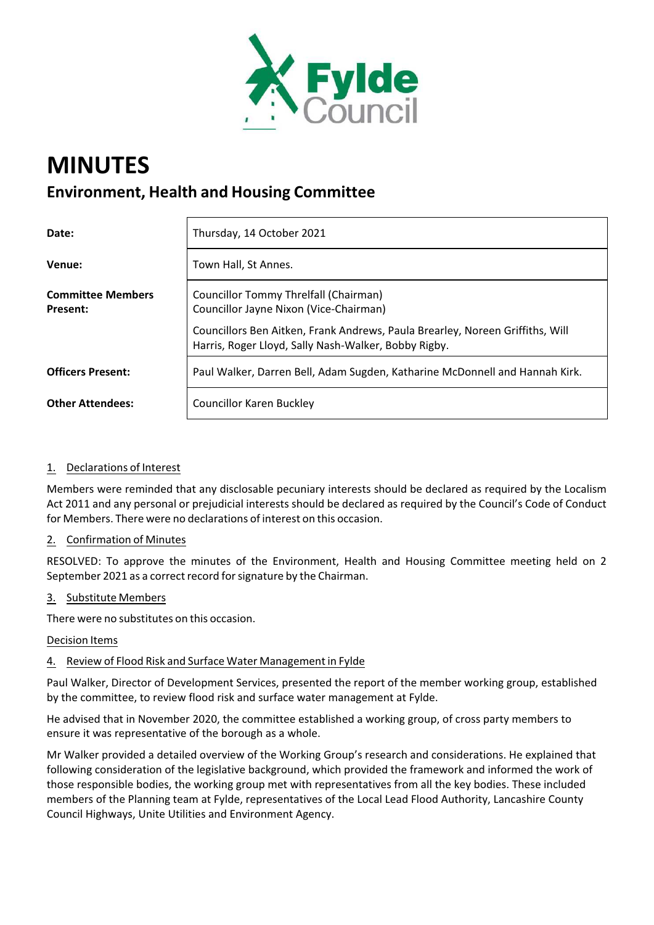

# **MINUTES Environment, Health and Housing Committee**

| Date:                                       | Thursday, 14 October 2021                                                                                                             |
|---------------------------------------------|---------------------------------------------------------------------------------------------------------------------------------------|
| Venue:                                      | Town Hall, St Annes.                                                                                                                  |
| <b>Committee Members</b><br><b>Present:</b> | Councillor Tommy Threlfall (Chairman)<br>Councillor Jayne Nixon (Vice-Chairman)                                                       |
|                                             | Councillors Ben Aitken, Frank Andrews, Paula Brearley, Noreen Griffiths, Will<br>Harris, Roger Lloyd, Sally Nash-Walker, Bobby Rigby. |
| <b>Officers Present:</b>                    | Paul Walker, Darren Bell, Adam Sugden, Katharine McDonnell and Hannah Kirk.                                                           |
| <b>Other Attendees:</b>                     | <b>Councillor Karen Buckley</b>                                                                                                       |

## 1. Declarations of Interest

Members were reminded that any disclosable pecuniary interests should be declared as required by the Localism Act 2011 and any personal or prejudicial interests should be declared as required by the Council's Code of Conduct for Members. There were no declarations of interest on this occasion.

## 2. Confirmation of Minutes

RESOLVED: To approve the minutes of the Environment, Health and Housing Committee meeting held on 2 September 2021 as a correct record for signature by the Chairman.

#### 3. Substitute Members

There were no substitutes on this occasion.

#### Decision Items

## 4. Review of Flood Risk and Surface Water Management in Fylde

Paul Walker, Director of Development Services, presented the report of the member working group, established by the committee, to review flood risk and surface water management at Fylde.

He advised that in November 2020, the committee established a working group, of cross party members to ensure it was representative of the borough as a whole.

Mr Walker provided a detailed overview of the Working Group's research and considerations. He explained that following consideration of the legislative background, which provided the framework and informed the work of those responsible bodies, the working group met with representatives from all the key bodies. These included members of the Planning team at Fylde, representatives of the Local Lead Flood Authority, Lancashire County Council Highways, Unite Utilities and Environment Agency.